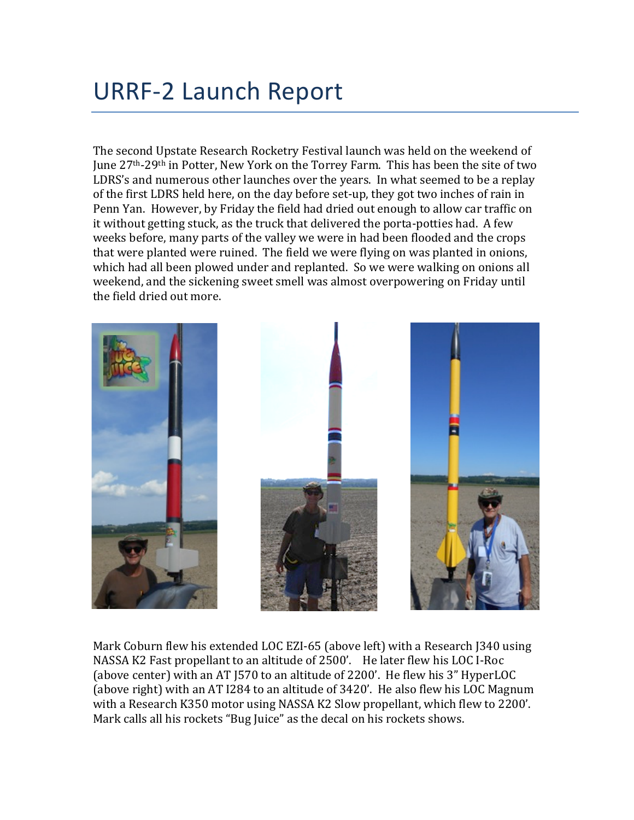## URRF-2 Launch Report

The second Upstate Research Rocketry Festival launch was held on the weekend of June 27<sup>th</sup>-29<sup>th</sup> in Potter, New York on the Torrey Farm. This has been the site of two LDRS's and numerous other launches over the years. In what seemed to be a replay of the first LDRS held here, on the day before set-up, they got two inches of rain in Penn Yan. However, by Friday the field had dried out enough to allow car traffic on it without getting stuck, as the truck that delivered the porta-potties had. A few weeks before, many parts of the valley we were in had been flooded and the crops that were planted were ruined. The field we were flying on was planted in onions, which had all been plowed under and replanted. So we were walking on onions all weekend, and the sickening sweet smell was almost overpowering on Friday until the field dried out more.



Mark Coburn flew his extended LOC EZI-65 (above left) with a Research J340 using NASSA K2 Fast propellant to an altitude of 2500'. He later flew his LOC I-Roc (above center) with an AT [570 to an altitude of 2200'. He flew his 3" HyperLOC (above right) with an AT I284 to an altitude of 3420'. He also flew his LOC Magnum with a Research K350 motor using NASSA K2 Slow propellant, which flew to 2200'. Mark calls all his rockets "Bug Juice" as the decal on his rockets shows.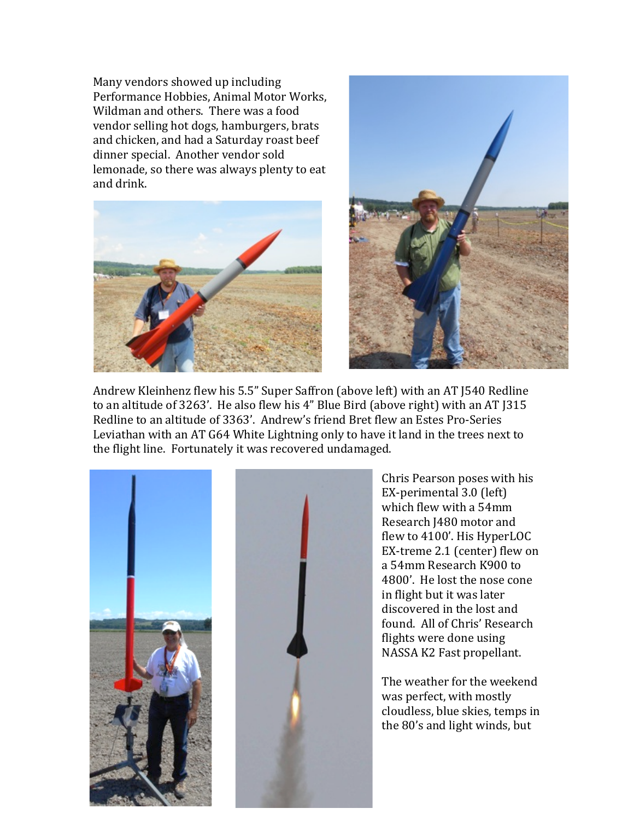Many vendors showed up including Performance Hobbies, Animal Motor Works, Wildman and others. There was a food vendor selling hot dogs, hamburgers, brats and chicken, and had a Saturday roast beef dinner special. Another vendor sold lemonade, so there was always plenty to eat and drink.





Andrew Kleinhenz flew his 5.5" Super Saffron (above left) with an AT J540 Redline to an altitude of  $3263'$ . He also flew his  $4''$  Blue Bird (above right) with an AT  $315$ Redline to an altitude of 3363'. Andrew's friend Bret flew an Estes Pro-Series Leviathan with an AT G64 White Lightning only to have it land in the trees next to the flight line. Fortunately it was recovered undamaged.





Chris Pearson poses with his EX-perimental 3.0 (left) which flew with a 54mm Research J480 motor and flew to 4100'. His HyperLOC EX-treme 2.1 (center) flew on a 54mm Research K900 to 4800'. He lost the nose cone in flight but it was later discovered in the lost and found. All of Chris' Research flights were done using NASSA K2 Fast propellant.

The weather for the weekend was perfect, with mostly cloudless, blue skies, temps in the 80's and light winds, but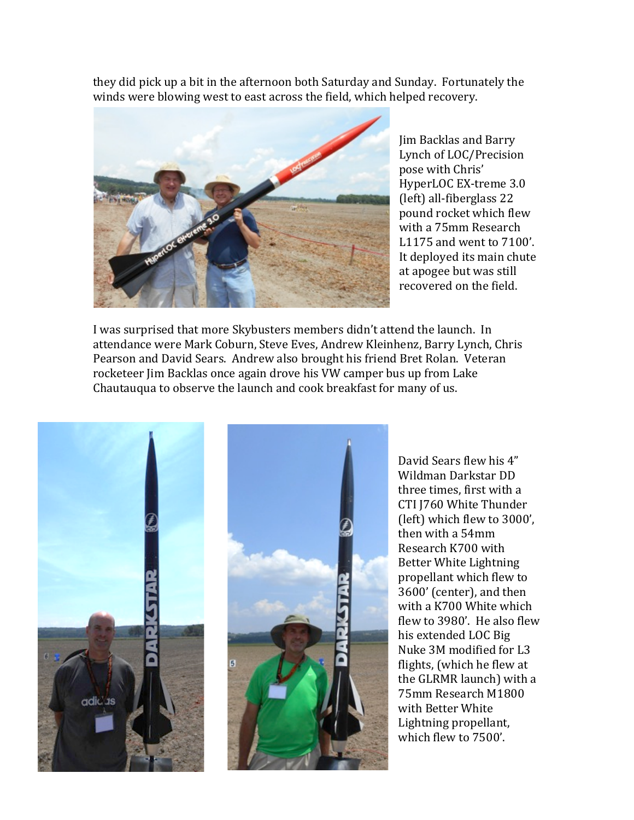they did pick up a bit in the afternoon both Saturday and Sunday. Fortunately the winds were blowing west to east across the field, which helped recovery.



Jim Backlas and Barry Lynch of LOC/Precision pose with Chris' HyperLOC EX-treme 3.0 (left) all-fiberglass 22 pound rocket which flew with a 75mm Research L1175 and went to 7100'. It deployed its main chute at apogee but was still recovered on the field.

I was surprised that more Skybusters members didn't attend the launch. In attendance were Mark Coburn, Steve Eves, Andrew Kleinhenz, Barry Lynch, Chris Pearson and David Sears. Andrew also brought his friend Bret Rolan. Veteran rocketeer Jim Backlas once again drove his VW camper bus up from Lake Chautauqua to observe the launch and cook breakfast for many of us.



David Sears flew his 4" Wildman Darkstar DD three times, first with a CTI J760 White Thunder (left) which flew to 3000'. then with a 54mm Research K700 with Better White Lightning propellant which flew to 3600' (center), and then with a K700 White which flew to  $3980'$ . He also flew his extended LOC Big Nuke 3M modified for L3 flights, (which he flew at the GLRMR launch) with a 75mm Research M1800 with Better White Lightning propellant, which flew to 7500'.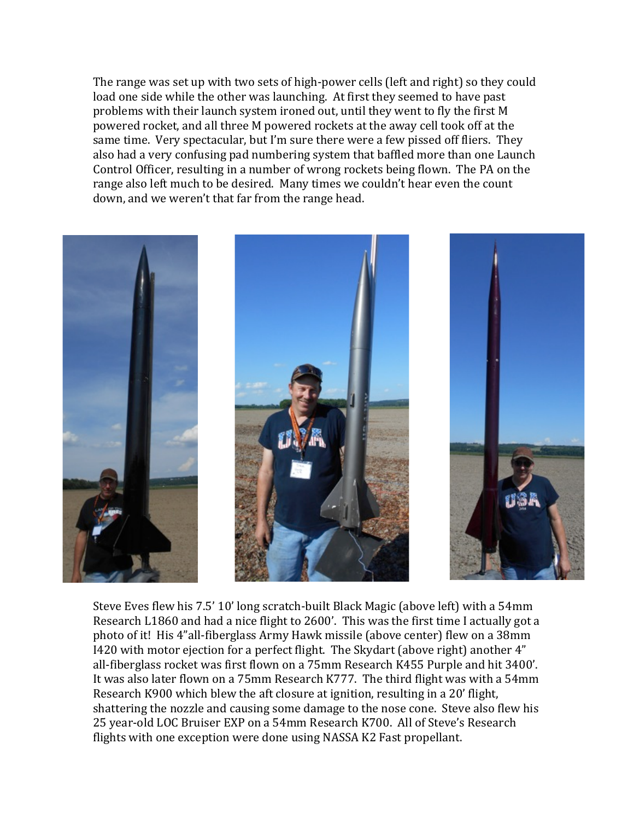The range was set up with two sets of high-power cells (left and right) so they could load one side while the other was launching. At first they seemed to have past problems with their launch system ironed out, until they went to fly the first M powered rocket, and all three M powered rockets at the away cell took off at the same time. Very spectacular, but I'm sure there were a few pissed off fliers. They also had a very confusing pad numbering system that baffled more than one Launch Control Officer, resulting in a number of wrong rockets being flown. The PA on the range also left much to be desired. Many times we couldn't hear even the count down, and we weren't that far from the range head.



Steve Eves flew his 7.5' 10' long scratch-built Black Magic (above left) with a 54mm Research L1860 and had a nice flight to 2600'. This was the first time I actually got a photo of it! His 4"all-fiberglass Army Hawk missile (above center) flew on a 38mm I420 with motor ejection for a perfect flight. The Skydart (above right) another 4" all-fiberglass rocket was first flown on a 75mm Research K455 Purple and hit 3400'. It was also later flown on a 75mm Research K777. The third flight was with a 54mm Research K900 which blew the aft closure at ignition, resulting in a 20' flight, shattering the nozzle and causing some damage to the nose cone. Steve also flew his 25 year-old LOC Bruiser EXP on a 54mm Research K700. All of Steve's Research flights with one exception were done using NASSA K2 Fast propellant.